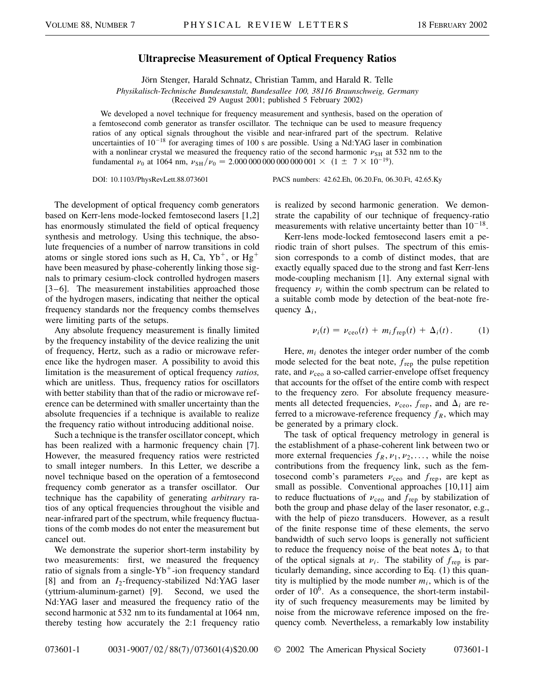## **Ultraprecise Measurement of Optical Frequency Ratios**

Jörn Stenger, Harald Schnatz, Christian Tamm, and Harald R. Telle

*Physikalisch-Technische Bundesanstalt, Bundesallee 100, 38116 Braunschweig, Germany*

(Received 29 August 2001; published 5 February 2002)

We developed a novel technique for frequency measurement and synthesis, based on the operation of a femtosecond comb generator as transfer oscillator. The technique can be used to measure frequency ratios of any optical signals throughout the visible and near-infrared part of the spectrum. Relative uncertainties of  $10^{-18}$  for averaging times of 100 s are possible. Using a Nd:YAG laser in combination with a nonlinear crystal we measured the frequency ratio of the second harmonic  $\nu_{SH}$  at 532 nm to the fundamental  $\nu_0$  at 1064 nm,  $\nu_{SH}/\nu_0 = 2.000\,000\,000\,000\,0001 \times (1 \pm 7 \times 10^{-19})$ .

DOI: 10.1103/PhysRevLett.88.073601 PACS numbers: 42.62.Eh, 06.20.Fn, 06.30.Ft, 42.65.Ky

The development of optical frequency comb generators based on Kerr-lens mode-locked femtosecond lasers [1,2] has enormously stimulated the field of optical frequency synthesis and metrology. Using this technique, the absolute frequencies of a number of narrow transitions in cold atoms or single stored ions such as H, Ca,  $Yb^+$ , or Hg<sup>+</sup> have been measured by phase-coherently linking those signals to primary cesium-clock controlled hydrogen masers [3–6]. The measurement instabilities approached those of the hydrogen masers, indicating that neither the optical frequency standards nor the frequency combs themselves were limiting parts of the setups.

Any absolute frequency measurement is finally limited by the frequency instability of the device realizing the unit of frequency, Hertz, such as a radio or microwave reference like the hydrogen maser. A possibility to avoid this limitation is the measurement of optical frequency *ratios,* which are unitless. Thus, frequency ratios for oscillators with better stability than that of the radio or microwave reference can be determined with smaller uncertainty than the absolute frequencies if a technique is available to realize the frequency ratio without introducing additional noise.

Such a technique is the transfer oscillator concept, which has been realized with a harmonic frequency chain [7]. However, the measured frequency ratios were restricted to small integer numbers. In this Letter, we describe a novel technique based on the operation of a femtosecond frequency comb generator as a transfer oscillator. Our technique has the capability of generating *arbitrary* ratios of any optical frequencies throughout the visible and near-infrared part of the spectrum, while frequency fluctuations of the comb modes do not enter the measurement but cancel out.

We demonstrate the superior short-term instability by two measurements: first, we measured the frequency ratio of signals from a single-Yb<sup>+</sup>-ion frequency standard [8] and from an *I*<sub>2</sub>-frequency-stabilized Nd:YAG laser (yttrium-aluminum-garnet) [9]. Second, we used the Nd:YAG laser and measured the frequency ratio of the second harmonic at 532 nm to its fundamental at 1064 nm, thereby testing how accurately the 2:1 frequency ratio is realized by second harmonic generation. We demonstrate the capability of our technique of frequency-ratio measurements with relative uncertainty better than  $10^{-18}$ .

Kerr-lens mode-locked femtosecond lasers emit a periodic train of short pulses. The spectrum of this emission corresponds to a comb of distinct modes, that are exactly equally spaced due to the strong and fast Kerr-lens mode-coupling mechanism [1]. Any external signal with frequency  $v_i$  within the comb spectrum can be related to a suitable comb mode by detection of the beat-note frequency  $\Delta_i$ ,

$$
\nu_i(t) = \nu_{ceo}(t) + m_i f_{rep}(t) + \Delta_i(t).
$$
 (1)

Here,  $m_i$  denotes the integer order number of the comb mode selected for the beat note, *f*rep the pulse repetition rate, and  $v_{ceo}$  a so-called carrier-envelope offset frequency that accounts for the offset of the entire comb with respect to the frequency zero. For absolute frequency measurements all detected frequencies,  $v_{ceo}$ ,  $f_{rep}$ , and  $\Delta_i$  are referred to a microwave-reference frequency  $f_R$ , which may be generated by a primary clock.

The task of optical frequency metrology in general is the establishment of a phase-coherent link between two or more external frequencies  $f_R, \nu_1, \nu_2, \ldots$ , while the noise contributions from the frequency link, such as the femtosecond comb's parameters  $v_{ceo}$  and  $f_{rep}$ , are kept as small as possible. Conventional approaches [10,11] aim to reduce fluctuations of  $v_{ceo}$  and  $f_{rep}$  by stabilization of both the group and phase delay of the laser resonator, e.g., with the help of piezo transducers. However, as a result of the finite response time of these elements, the servo bandwidth of such servo loops is generally not sufficient to reduce the frequency noise of the beat notes  $\Delta_i$  to that of the optical signals at  $v_i$ . The stability of  $f_{\text{rep}}$  is particularly demanding, since according to Eq. (1) this quantity is multiplied by the mode number  $m_i$ , which is of the order of  $10<sup>6</sup>$ . As a consequence, the short-term instability of such frequency measurements may be limited by noise from the microwave reference imposed on the frequency comb. Nevertheless, a remarkably low instability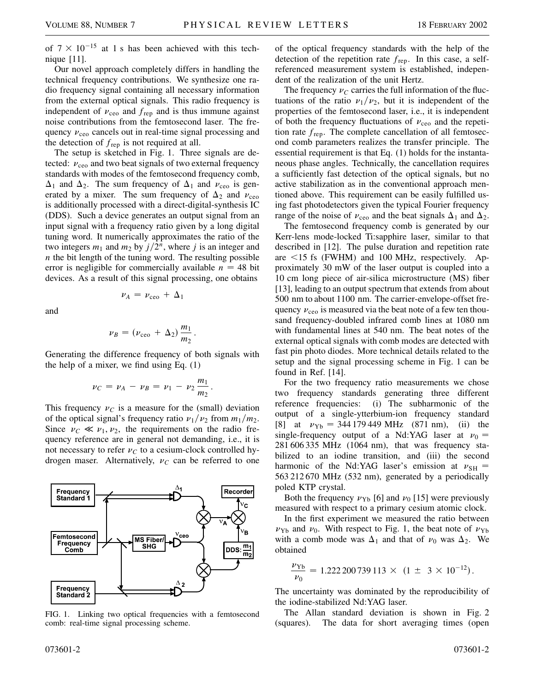of  $7 \times 10^{-15}$  at 1 s has been achieved with this technique [11].

Our novel approach completely differs in handling the technical frequency contributions. We synthesize one radio frequency signal containing all necessary information from the external optical signals. This radio frequency is independent of  $v_{ceo}$  and  $f_{rep}$  and is thus immune against noise contributions from the femtosecond laser. The frequency  $v_{ceo}$  cancels out in real-time signal processing and the detection of *f*rep is not required at all.

The setup is sketched in Fig. 1. Three signals are detected:  $v_{ceo}$  and two beat signals of two external frequency standards with modes of the femtosecond frequency comb,  $\Delta_1$  and  $\Delta_2$ . The sum frequency of  $\Delta_1$  and  $\nu_{ceo}$  is generated by a mixer. The sum frequency of  $\Delta_2$  and  $\nu_{\text{ceo}}$ is additionally processed with a direct-digital-synthesis IC (DDS). Such a device generates an output signal from an input signal with a frequency ratio given by a long digital tuning word. It numerically approximates the ratio of the two integers  $m_1$  and  $m_2$  by  $j/2^n$ , where *j* is an integer and *n* the bit length of the tuning word. The resulting possible error is negligible for commercially available  $n = 48$  bit devices. As a result of this signal processing, one obtains

and

$$
\nu_B = (\nu_{\rm ceo} + \Delta_2) \frac{m_1}{m_2}.
$$

 $\nu_A = \nu_{\rm{ceo}} + \Delta_1$ 

Generating the difference frequency of both signals with the help of a mixer, we find using Eq. (1)

$$
\nu_C = \nu_A - \nu_B = \nu_1 - \nu_2 \frac{m_1}{m_2}.
$$

This frequency  $\nu_C$  is a measure for the (small) deviation of the optical signal's frequency ratio  $\nu_1/\nu_2$  from  $m_1/m_2$ . Since  $\nu_C \ll \nu_1, \nu_2$ , the requirements on the radio frequency reference are in general not demanding, i.e., it is not necessary to refer  $\nu<sub>C</sub>$  to a cesium-clock controlled hydrogen maser. Alternatively,  $v_C$  can be referred to one



FIG. 1. Linking two optical frequencies with a femtosecond comb: real-time signal processing scheme.

of the optical frequency standards with the help of the detection of the repetition rate *f*rep. In this case, a selfreferenced measurement system is established, independent of the realization of the unit Hertz.

The frequency  $\nu<sub>C</sub>$  carries the full information of the fluctuations of the ratio  $\nu_1/\nu_2$ , but it is independent of the properties of the femtosecond laser, i.e., it is independent of both the frequency fluctuations of  $v_{ceo}$  and the repetition rate *f*rep. The complete cancellation of all femtosecond comb parameters realizes the transfer principle. The essential requirement is that Eq. (1) holds for the instantaneous phase angles. Technically, the cancellation requires a sufficiently fast detection of the optical signals, but no active stabilization as in the conventional approach mentioned above. This requirement can be easily fulfilled using fast photodetectors given the typical Fourier frequency range of the noise of  $v_{ceo}$  and the beat signals  $\Delta_1$  and  $\Delta_2$ .

The femtosecond frequency comb is generated by our Kerr-lens mode-locked Ti:sapphire laser, similar to that described in [12]. The pulse duration and repetition rate are  $\le$ 15 fs (FWHM) and 100 MHz, respectively. Approximately 30 mW of the laser output is coupled into a 10 cm long piece of air-silica microstructure (MS) fiber [13], leading to an output spectrum that extends from about 500 nm to about 1100 nm. The carrier-envelope-offset frequency  $\nu_{ceo}$  is measured via the beat note of a few ten thousand frequency-doubled infrared comb lines at 1080 nm with fundamental lines at 540 nm. The beat notes of the external optical signals with comb modes are detected with fast pin photo diodes. More technical details related to the setup and the signal processing scheme in Fig. 1 can be found in Ref. [14].

For the two frequency ratio measurements we chose two frequency standards generating three different reference frequencies: (i) The subharmonic of the output of a single-ytterbium-ion frequency standard [8] at  $v_{\text{Yb}} = 344\,179\,449\,\text{MHz}$  (871 nm), (ii) the single-frequency output of a Nd:YAG laser at  $v_0 =$ 281 606 335 MHz (1064 nm), that was frequency stabilized to an iodine transition, and (iii) the second harmonic of the Nd:YAG laser's emission at  $v_{\text{SH}} =$ 563 212 670 MHz (532 nm), generated by a periodically poled KTP crystal.

Both the frequency  $\nu_{\text{Yb}}$  [6] and  $\nu_0$  [15] were previously measured with respect to a primary cesium atomic clock.

In the first experiment we measured the ratio between  $\nu_{\text{Yb}}$  and  $\nu_0$ . With respect to Fig. 1, the beat note of  $\nu_{\text{Yb}}$ with a comb mode was  $\Delta_1$  and that of  $\nu_0$  was  $\Delta_2$ . We obtained

$$
\frac{\nu_{\text{Yb}}}{\nu_0} = 1.222\,200\,739\,113\,\times\,(1\,\pm\,3\times10^{-12})\,.
$$

The uncertainty was dominated by the reproducibility of the iodine-stabilized Nd:YAG laser.

The Allan standard deviation is shown in Fig. 2 (squares). The data for short averaging times (open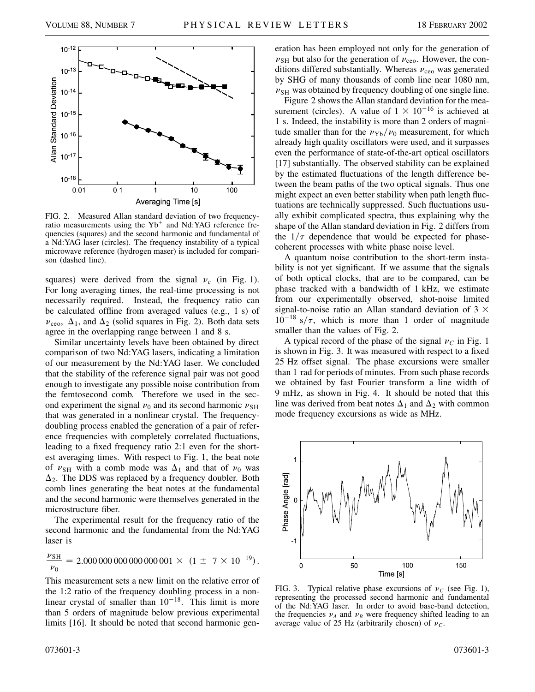

FIG. 2. Measured Allan standard deviation of two frequencyratio measurements using the  $Yb^+$  and Nd:YAG reference frequencies (squares) and the second harmonic and fundamental of a Nd:YAG laser (circles). The frequency instability of a typical microwave reference (hydrogen maser) is included for comparison (dashed line).

squares) were derived from the signal  $v_c$  (in Fig. 1). For long averaging times, the real-time processing is not necessarily required. Instead, the frequency ratio can be calculated offline from averaged values (e.g., 1 s) of  $\nu_{\rm{ceo}}, \Delta_1$ , and  $\Delta_2$  (solid squares in Fig. 2). Both data sets agree in the overlapping range between 1 and 8 s.

Similar uncertainty levels have been obtained by direct comparison of two Nd:YAG lasers, indicating a limitation of our measurement by the Nd:YAG laser. We concluded that the stability of the reference signal pair was not good enough to investigate any possible noise contribution from the femtosecond comb. Therefore we used in the second experiment the signal  $\nu_0$  and its second harmonic  $\nu_{\text{SH}}$ that was generated in a nonlinear crystal. The frequencydoubling process enabled the generation of a pair of reference frequencies with completely correlated fluctuations, leading to a fixed frequency ratio 2:1 even for the shortest averaging times. With respect to Fig. 1, the beat note of  $\nu_{SH}$  with a comb mode was  $\Delta_1$  and that of  $\nu_0$  was  $\Delta_2$ . The DDS was replaced by a frequency doubler. Both comb lines generating the beat notes at the fundamental and the second harmonic were themselves generated in the microstructure fiber.

The experimental result for the frequency ratio of the second harmonic and the fundamental from the Nd:YAG laser is

$$
\frac{\nu_{\text{SH}}}{\nu_0} = 2.000\,000\,000\,000\,000\,001 \times (1 \pm 7 \times 10^{-19}).
$$

This measurement sets a new limit on the relative error of the 1:2 ratio of the frequency doubling process in a nonlinear crystal of smaller than  $10^{-18}$ . This limit is more than 5 orders of magnitude below previous experimental limits [16]. It should be noted that second harmonic generation has been employed not only for the generation of  $\nu<sub>SH</sub>$  but also for the generation of  $\nu<sub>ceo</sub>$ . However, the conditions differed substantially. Whereas  $v_{ceo}$  was generated by SHG of many thousands of comb line near 1080 nm,  $\nu<sub>SH</sub>$  was obtained by frequency doubling of one single line.

Figure 2 shows the Allan standard deviation for the measurement (circles). A value of  $1 \times 10^{-16}$  is achieved at 1 s. Indeed, the instability is more than 2 orders of magnitude smaller than for the  $v_{Yb}/v_0$  measurement, for which already high quality oscillators were used, and it surpasses even the performance of state-of-the-art optical oscillators [17] substantially. The observed stability can be explained by the estimated fluctuations of the length difference between the beam paths of the two optical signals. Thus one might expect an even better stability when path length fluctuations are technically suppressed. Such fluctuations usually exhibit complicated spectra, thus explaining why the shape of the Allan standard deviation in Fig. 2 differs from the  $1/\tau$  dependence that would be expected for phasecoherent processes with white phase noise level.

A quantum noise contribution to the short-term instability is not yet significant. If we assume that the signals of both optical clocks, that are to be compared, can be phase tracked with a bandwidth of 1 kHz, we estimate from our experimentally observed, shot-noise limited signal-to-noise ratio an Allan standard deviation of  $3 \times$  $10^{-18}$  s/ $\tau$ , which is more than 1 order of magnitude smaller than the values of Fig. 2.

A typical record of the phase of the signal  $\nu_c$  in Fig. 1 is shown in Fig. 3. It was measured with respect to a fixed 25 Hz offset signal. The phase excursions were smaller than 1 rad for periods of minutes. From such phase records we obtained by fast Fourier transform a line width of 9 mHz, as shown in Fig. 4. It should be noted that this line was derived from beat notes  $\Delta_1$  and  $\Delta_2$  with common mode frequency excursions as wide as MHz.



FIG. 3. Typical relative phase excursions of  $\nu_c$  (see Fig. 1), representing the processed second harmonic and fundamental of the Nd:YAG laser. In order to avoid base-band detection, the frequencies  $\nu_A$  and  $\nu_B$  were frequency shifted leading to an average value of 25 Hz (arbitrarily chosen) of  $\nu_c$ .